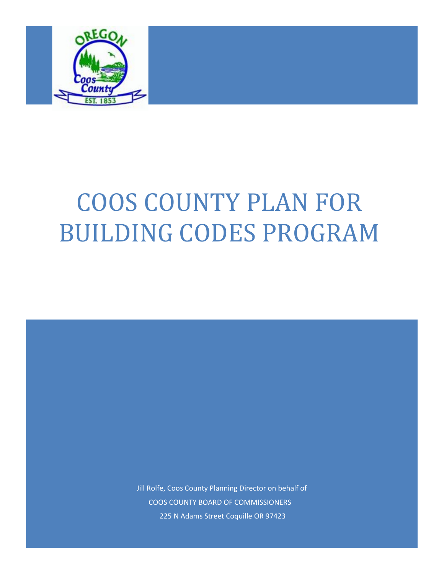

# COOS COUNTY PLAN FOR BUILDING CODES PROGRAM

Jill Rolfe, Coos County Planning Director on behalf of COOS COUNTY BOARD OF COMMISSIONERS 225 N Adams Street Coquille OR 97423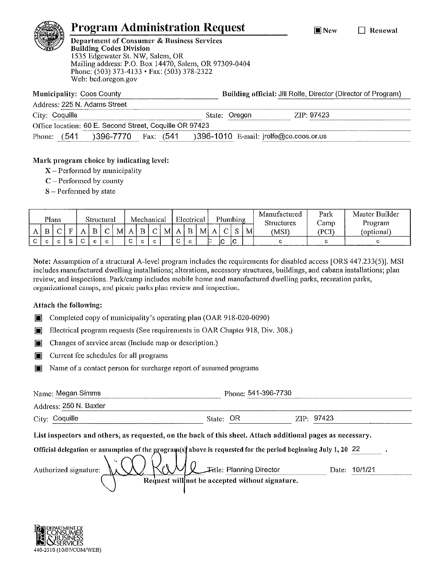## **Program Administration Request**

 $\blacksquare$  New

#### $\Box$  Renewal



**Department of Consumer & Business Services Building Codes Division** 1535 Edgewater St. NW, Salem, OR Mailing address: P.O. Box 14470, Salem, OR 97309-0404 Phone: (503) 373-4133 • Fax: (503) 378-2322 Web: bcd.oregon.gov

Municipality: Coos County Address: 225 N. Adoms Stroot Building official: Jill Rolfe, Director (Director of Program)

|                |      | Address. ZZO IV. Additio Ottober                        |              |        |        |                                            |  |
|----------------|------|---------------------------------------------------------|--------------|--------|--------|--------------------------------------------|--|
| City: Coquille |      |                                                         |              | State: | Oregon | ZIP 97423                                  |  |
|                |      | Office location: 60 E. Second Street, Coquille OR 97423 |              |        |        |                                            |  |
| Phone:         | 6541 | 396-7770                                                | -641<br>Fax: |        |        | $396-1010$ E-mail: $i$ rolfe@co.coos.or.us |  |
|                |      |                                                         |              |        |        |                                            |  |

#### Mark program choice by indicating level:

- $X$  Performed by municipality
- $C$  Performed by county
- $S -$  Performed by state

|   |    | <b>Plans</b> |            |        | Structural |   |        | Mechanical |   |   |   | Electrical |   |         | Plumbing |        |              | Manufactured<br><b>Structures</b> | Park<br>Cainn | Master Builder<br>Program |  |  |  |
|---|----|--------------|------------|--------|------------|---|--------|------------|---|---|---|------------|---|---------|----------|--------|--------------|-----------------------------------|---------------|---------------------------|--|--|--|
|   | B  |              |            |        |            | M |        | B          | C | M |   | $A \mid B$ | M | A       | $\sim$   | $\sim$ | $\mathbf{M}$ | MSF                               | (PCI          | (optional)                |  |  |  |
| ⌒ | -C |              | $\sqrt{2}$ | $\sim$ | $\sim$     |   | $\sim$ | c.         |   |   | ⌒ | C.         |   | r-<br>↜ | łС       | lC     |              |                                   |               |                           |  |  |  |

Note: Assumption of a structural A-level program includes the requirements for disabled access [ORS 447.233(5)]. MSI includes manufactured dwelling installations; alterations, accessory structures, buildings, and cabana installations; plan review; and inspections. Park/camp includes mobile home and manufactured dwelling parks, recreation parks, organizational camps, and picnic parks plan review and inspection.

#### Attach the following:

- Completed copy of municipality's operating plan (OAR 918-020-0090)  $\blacksquare$
- Electrical program requests (See requirements in OAR Chapter 918, Div. 308.) n
- Changes of service areas (Include map or description.)  $\Box$
- $\blacksquare$ Current fee schedules for all programs
- Name of a contact person for surcharge report of assumed programs  $\blacksquare$

| Name: Megan Simms                                                                                                                                                                                                           |        | Phone: 541-396-7730                                                         |            |         |  |  |  |  |  |
|-----------------------------------------------------------------------------------------------------------------------------------------------------------------------------------------------------------------------------|--------|-----------------------------------------------------------------------------|------------|---------|--|--|--|--|--|
| Address: 250 N. Baxter                                                                                                                                                                                                      |        |                                                                             |            |         |  |  |  |  |  |
| City: Coquille                                                                                                                                                                                                              | State: | OR                                                                          | ZIP: 97423 |         |  |  |  |  |  |
| List inspectors and others, as requested, on the back of this sheet. Attach additional pages as necessary.<br>Official delegation or assumption of the program(s) above is requested for the period beginning July 1, 20 22 |        |                                                                             |            |         |  |  |  |  |  |
| Authorized signature:                                                                                                                                                                                                       |        | Fitle: Planning Director<br>Request will not be accepted without signature. | Date:      | 10/1/21 |  |  |  |  |  |

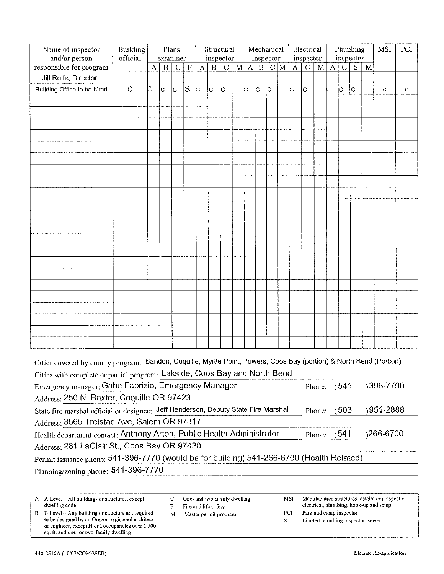| Name of inspector                                                                                                | Building                                                                                                        |   |          | Plans                      |         | Structural<br>Mechanical<br>inspector<br>inspector |             |               |   |              |              |     |     |   | Electrical                  |                | Plumbing<br>inspector |               |             |   | <b>MSI</b>                                                                        | PCI |
|------------------------------------------------------------------------------------------------------------------|-----------------------------------------------------------------------------------------------------------------|---|----------|----------------------------|---------|----------------------------------------------------|-------------|---------------|---|--------------|--------------|-----|-----|---|-----------------------------|----------------|-----------------------|---------------|-------------|---|-----------------------------------------------------------------------------------|-----|
| and/or person<br>responsible for program                                                                         | official                                                                                                        | A | $\bf{B}$ | examiner<br>$\overline{C}$ | $\rm F$ | $\overline{\mathbf{A}}$                            | $\mathbf B$ | $\mathcal{C}$ | M | $\mathbf{A}$ | $\mathbf{B}$ |     | C/M | A | inspector<br>$\overline{C}$ | $\mathbf M$    | A                     | $\mathcal{C}$ | S           | M |                                                                                   |     |
| Jill Rolfe, Director                                                                                             |                                                                                                                 |   |          |                            |         |                                                    |             |               |   |              |              |     |     |   |                             |                |                       |               |             |   |                                                                                   |     |
| Building Office to be hired                                                                                      | $\mathsf C$                                                                                                     | J | Ċ        | C.                         | S       | c                                                  | lc.         | c             |   | b            | c            | lc. |     | C | $\mathsf{C}$                |                | c                     | ļс            | $ {\rm c} $ |   | $\mathbf C$                                                                       | C   |
|                                                                                                                  |                                                                                                                 |   |          |                            |         |                                                    |             |               |   |              |              |     |     |   |                             |                |                       |               |             |   |                                                                                   |     |
|                                                                                                                  |                                                                                                                 |   |          |                            |         |                                                    |             |               |   |              |              |     |     |   |                             |                |                       |               |             |   |                                                                                   |     |
|                                                                                                                  |                                                                                                                 |   |          |                            |         |                                                    |             |               |   |              |              |     |     |   |                             |                |                       |               |             |   |                                                                                   |     |
|                                                                                                                  |                                                                                                                 |   |          |                            |         |                                                    |             |               |   |              |              |     |     |   |                             |                |                       |               |             |   |                                                                                   |     |
|                                                                                                                  |                                                                                                                 |   |          |                            |         |                                                    |             |               |   |              |              |     |     |   |                             |                |                       |               |             |   |                                                                                   |     |
|                                                                                                                  |                                                                                                                 |   |          |                            |         |                                                    |             |               |   |              |              |     |     |   |                             |                |                       |               |             |   |                                                                                   |     |
|                                                                                                                  |                                                                                                                 |   |          |                            |         |                                                    |             |               |   |              |              |     |     |   |                             |                |                       |               |             |   |                                                                                   |     |
|                                                                                                                  |                                                                                                                 |   |          |                            |         |                                                    |             |               |   |              |              |     |     |   |                             |                |                       |               |             |   |                                                                                   |     |
|                                                                                                                  |                                                                                                                 |   |          |                            |         |                                                    |             |               |   |              |              |     |     |   |                             |                |                       |               |             |   |                                                                                   |     |
|                                                                                                                  |                                                                                                                 |   |          |                            |         |                                                    |             |               |   |              |              |     |     |   |                             |                |                       |               |             |   |                                                                                   |     |
|                                                                                                                  |                                                                                                                 |   |          |                            |         |                                                    |             |               |   |              |              |     |     |   |                             |                |                       |               |             |   |                                                                                   |     |
|                                                                                                                  |                                                                                                                 |   |          |                            |         |                                                    |             |               |   |              |              |     |     |   |                             |                |                       |               |             |   |                                                                                   |     |
|                                                                                                                  |                                                                                                                 |   |          |                            |         |                                                    |             |               |   |              |              |     |     |   |                             |                |                       |               |             |   |                                                                                   |     |
|                                                                                                                  |                                                                                                                 |   |          |                            |         |                                                    |             |               |   |              |              |     |     |   |                             |                |                       |               |             |   |                                                                                   |     |
|                                                                                                                  |                                                                                                                 |   |          |                            |         |                                                    |             |               |   |              |              |     |     |   |                             |                |                       |               |             |   |                                                                                   |     |
|                                                                                                                  |                                                                                                                 |   |          |                            |         |                                                    |             |               |   |              |              |     |     |   |                             |                |                       |               |             |   |                                                                                   |     |
|                                                                                                                  |                                                                                                                 |   |          |                            |         |                                                    |             |               |   |              |              |     |     |   |                             |                |                       |               |             |   |                                                                                   |     |
|                                                                                                                  |                                                                                                                 |   |          |                            |         |                                                    |             |               |   |              |              |     |     |   |                             |                |                       |               |             |   |                                                                                   |     |
|                                                                                                                  |                                                                                                                 |   |          |                            |         |                                                    |             |               |   |              |              |     |     |   |                             |                |                       |               |             |   |                                                                                   |     |
|                                                                                                                  |                                                                                                                 |   |          |                            |         |                                                    |             |               |   |              |              |     |     |   |                             |                |                       |               |             |   |                                                                                   |     |
|                                                                                                                  |                                                                                                                 |   |          |                            |         |                                                    |             |               |   |              |              |     |     |   |                             |                |                       |               |             |   |                                                                                   |     |
| Cities covered by county program:                                                                                |                                                                                                                 |   |          |                            |         |                                                    |             |               |   |              |              |     |     |   |                             |                |                       |               |             |   | Bandon, Coquille, Myrtle Point, Powers, Coos Bay (portion) & North Bend (Portion) |     |
| Cities with complete or partial program: Lakside, Coos Bay and North Bend                                        |                                                                                                                 |   |          |                            |         |                                                    |             |               |   |              |              |     |     |   |                             |                |                       |               |             |   |                                                                                   |     |
| Emergency manager; Gabe Fabrizio, Emergency Manager                                                              |                                                                                                                 |   |          |                            |         |                                                    |             |               |   |              |              |     |     |   |                             | Phone: $(541)$ |                       |               |             |   | )396-7790                                                                         |     |
| Address: 250 N. Baxter, Coquille OR 97423                                                                        |                                                                                                                 |   |          |                            |         |                                                    |             |               |   |              |              |     |     |   |                             |                |                       |               |             |   |                                                                                   |     |
|                                                                                                                  | State fire marshal official or designee: Jeff Henderson, Deputy State Fire Marshal<br>)951-2888<br>Phone: (503) |   |          |                            |         |                                                    |             |               |   |              |              |     |     |   |                             |                |                       |               |             |   |                                                                                   |     |
| Address: 3565 Trelstad Ave, Salem OR 97317                                                                       |                                                                                                                 |   |          |                            |         |                                                    |             |               |   |              |              |     |     |   |                             |                |                       |               |             |   |                                                                                   |     |
| Health department contact: Anthony Arton, Public Health Administrator<br><sub>1</sub> 266-6700<br>Phone: $(541)$ |                                                                                                                 |   |          |                            |         |                                                    |             |               |   |              |              |     |     |   |                             |                |                       |               |             |   |                                                                                   |     |
| Address: 281 LaClair St., Coos Bay OR 97420                                                                      |                                                                                                                 |   |          |                            |         |                                                    |             |               |   |              |              |     |     |   |                             |                |                       |               |             |   |                                                                                   |     |
| Permit issuance phone: 541-396-7770 (would be for building) 541-266-6700 (Health Related)                        |                                                                                                                 |   |          |                            |         |                                                    |             |               |   |              |              |     |     |   |                             |                |                       |               |             |   |                                                                                   |     |
|                                                                                                                  | Planning/zoning phone: 541-396-7770                                                                             |   |          |                            |         |                                                    |             |               |   |              |              |     |     |   |                             |                |                       |               |             |   |                                                                                   |     |

| A Level – All buildings or structures, except     |   | One- and two-family dwelling | MSI | Manufactured structures installation inspector. |
|---------------------------------------------------|---|------------------------------|-----|-------------------------------------------------|
| dwelling code                                     |   | Fire and life safety         |     | electrical, plumbing, hook-up and setup         |
| B Level – Any building or structure not required  | М | Master permit program        | PCI | Park and camp inspector                         |
| to be designed by an Oregon-registered architect  |   |                              |     | Limited plumbing inspector; sewer               |
| or engineer, except H or I occupancies over 1,500 |   |                              |     |                                                 |
| sq. ft. and one- or two-family dwelling           |   |                              |     |                                                 |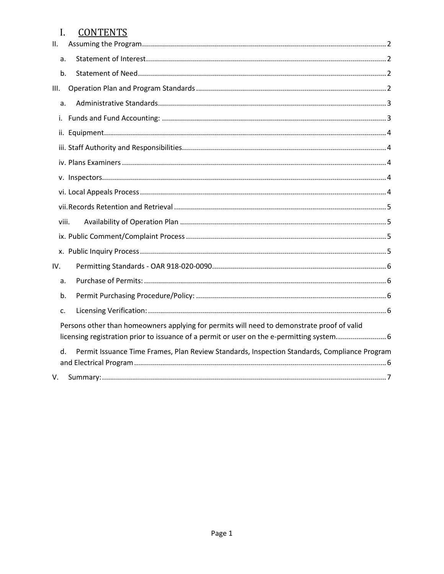#### **CONTENTS**  $I.$

| П.    |                                                                                                                                                                                        |
|-------|----------------------------------------------------------------------------------------------------------------------------------------------------------------------------------------|
| a.    |                                                                                                                                                                                        |
| b.    |                                                                                                                                                                                        |
| Ш.    |                                                                                                                                                                                        |
| a.    |                                                                                                                                                                                        |
| i.    |                                                                                                                                                                                        |
|       |                                                                                                                                                                                        |
|       |                                                                                                                                                                                        |
|       |                                                                                                                                                                                        |
|       |                                                                                                                                                                                        |
|       |                                                                                                                                                                                        |
|       |                                                                                                                                                                                        |
| viii. |                                                                                                                                                                                        |
|       |                                                                                                                                                                                        |
|       |                                                                                                                                                                                        |
| IV.   |                                                                                                                                                                                        |
| a.    |                                                                                                                                                                                        |
| b.    |                                                                                                                                                                                        |
| c.    |                                                                                                                                                                                        |
|       | Persons other than homeowners applying for permits will need to demonstrate proof of valid<br>licensing registration prior to issuance of a permit or user on the e-permitting system6 |
| d.    | Permit Issuance Time Frames, Plan Review Standards, Inspection Standards, Compliance Program                                                                                           |
| V.    |                                                                                                                                                                                        |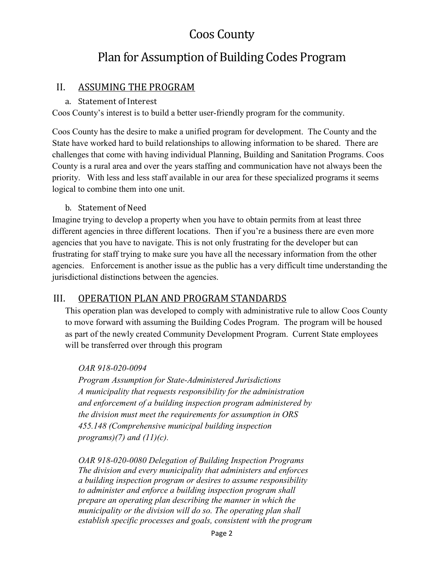# Coos County

# Plan for Assumption of Building Codes Program

## <span id="page-4-0"></span>II. ASSUMING THE PROGRAM

#### a. Statement of Interest

<span id="page-4-1"></span>Coos County's interest is to build a better user-friendly program for the community.

Coos County has the desire to make a unified program for development. The County and the State have worked hard to build relationships to allowing information to be shared. There are challenges that come with having individual Planning, Building and Sanitation Programs. Coos County is a rural area and over the years staffing and communication have not always been the priority. With less and less staff available in our area for these specialized programs it seems logical to combine them into one unit.

#### b. Statement of Need

<span id="page-4-2"></span>Imagine trying to develop a property when you have to obtain permits from at least three different agencies in three different locations. Then if you're a business there are even more agencies that you have to navigate. This is not only frustrating for the developer but can frustrating for staff trying to make sure you have all the necessary information from the other agencies. Enforcement is another issue as the public has a very difficult time understanding the jurisdictional distinctions between the agencies.

### <span id="page-4-3"></span>III. OPERATION PLAN AND PROGRAM STANDARDS

This operation plan was developed to comply with administrative rule to allow Coos County to move forward with assuming the Building Codes Program. The program will be housed as part of the newly created Community Development Program. Current State employees will be transferred over through this program

#### *OAR 918-020-0094*

*Program Assumption for State-Administered Jurisdictions A municipality that requests responsibility for the administration and enforcement of a building inspection program administered by the division must meet the requirements for assumption in ORS 455.148 (Comprehensive municipal building inspection programs)(7) and (11)(c).* 

*OAR 918-020-0080 Delegation of Building Inspection Programs The division and every municipality that administers and enforces a building inspection program or desires to assume responsibility to administer and enforce a building inspection program shall prepare an operating plan describing the manner in which the municipality or the division will do so. The operating plan shall establish specific processes and goals, consistent with the program*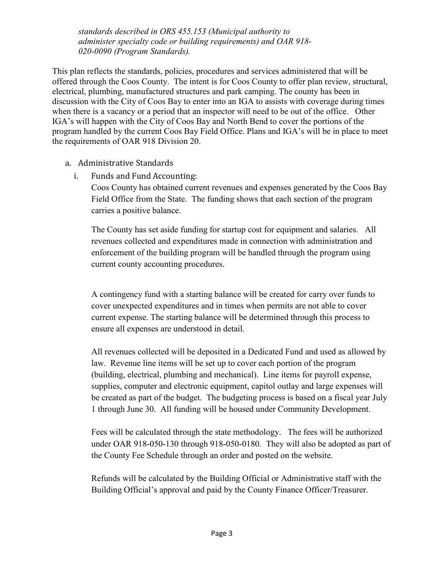*standards described in ORS 455.153 (Municipal authority to administer specialty code or building requirements) and OAR 918- 020-0090 (Program Standards).*

This plan reflects the standards, policies, procedures and services administered that will be offered through the Coos County. The intent is for Coos County to offer plan review, structural, electrical, plumbing, manufactured structures and park camping. The county has been in discussion with the City of Coos Bay to enter into an IGA to assists with coverage during times when there is a vacancy or a period that an inspector will need to be out of the office. Other IGA's will happen with the City of Coos Bay and North Bend to cover the portions of the program handled by the current Coos Bay Field Office. Plans and IGA's will be in place to meet the requirements of OAR 918 Division 20.

- <span id="page-5-1"></span><span id="page-5-0"></span>a. Administrative Standards
	- i. Funds and Fund Accounting:

Coos County has obtained current revenues and expenses generated by the Coos Bay Field Office from the State. The funding shows that each section of the program carries a positive balance.

The County has set aside funding for startup cost for equipment and salaries. All revenues collected and expenditures made in connection with administration and enforcement of the building program will be handled through the program using current county accounting procedures.

A contingency fund with a starting balance will be created for carry over funds to cover unexpected expenditures and in times when permits are not able to cover current expense. The starting balance will be determined through this process to ensure all expenses are understood in detail.

All revenues collected will be deposited in a Dedicated Fund and used as allowed by law. Revenue line items will be set up to cover each portion of the program (building, electrical, plumbing and mechanical). Line items for payroll expense, supplies, computer and electronic equipment, capitol outlay and large expenses will be created as part of the budget. The budgeting process is based on a fiscal year July 1 through June 30. All funding will be housed under Community Development.

Fees will be calculated through the state methodology. The fees will be authorized under OAR 918-050-130 through 918-050-0180. They will also be adopted as part of the County Fee Schedule through an order and posted on the website.

Refunds will be calculated by the Building Official or Administrative staff with the Building Official's approval and paid by the County Finance Officer/Treasurer.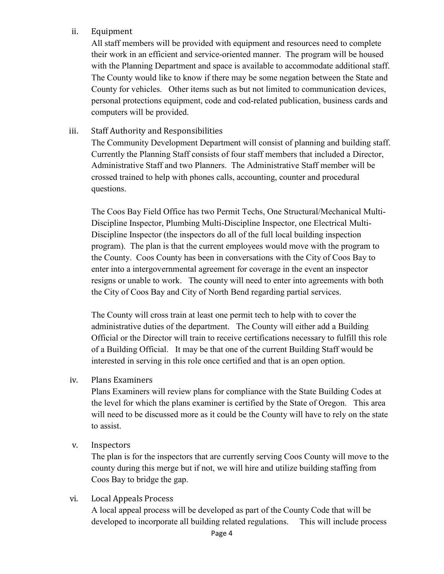#### <span id="page-6-0"></span>ii. Equipment

All staff members will be provided with equipment and resources need to complete their work in an efficient and service-oriented manner. The program will be housed with the Planning Department and space is available to accommodate additional staff. The County would like to know if there may be some negation between the State and County for vehicles. Other items such as but not limited to communication devices, personal protections equipment, code and cod-related publication, business cards and computers will be provided.

#### <span id="page-6-1"></span>iii. Staff Authority and Responsibilities

The Community Development Department will consist of planning and building staff. Currently the Planning Staff consists of four staff members that included a Director, Administrative Staff and two Planners. The Administrative Staff member will be crossed trained to help with phones calls, accounting, counter and procedural questions.

The Coos Bay Field Office has two Permit Techs, One Structural/Mechanical Multi-Discipline Inspector, Plumbing Multi-Discipline Inspector, one Electrical Multi-Discipline Inspector (the inspectors do all of the full local building inspection program). The plan is that the current employees would move with the program to the County. Coos County has been in conversations with the City of Coos Bay to enter into a intergovernmental agreement for coverage in the event an inspector resigns or unable to work. The county will need to enter into agreements with both the City of Coos Bay and City of North Bend regarding partial services.

The County will cross train at least one permit tech to help with to cover the administrative duties of the department. The County will either add a Building Official or the Director will train to receive certifications necessary to fulfill this role of a Building Official. It may be that one of the current Building Staff would be interested in serving in this role once certified and that is an open option.

#### <span id="page-6-2"></span>iv. Plans Examiners

Plans Examiners will review plans for compliance with the State Building Codes at the level for which the plans examiner is certified by the State of Oregon. This area will need to be discussed more as it could be the County will have to rely on the state to assist.

#### <span id="page-6-3"></span>v. Inspectors

The plan is for the inspectors that are currently serving Coos County will move to the county during this merge but if not, we will hire and utilize building staffing from Coos Bay to bridge the gap.

#### <span id="page-6-4"></span>vi. Local Appeals Process

A local appeal process will be developed as part of the County Code that will be developed to incorporate all building related regulations. This will include process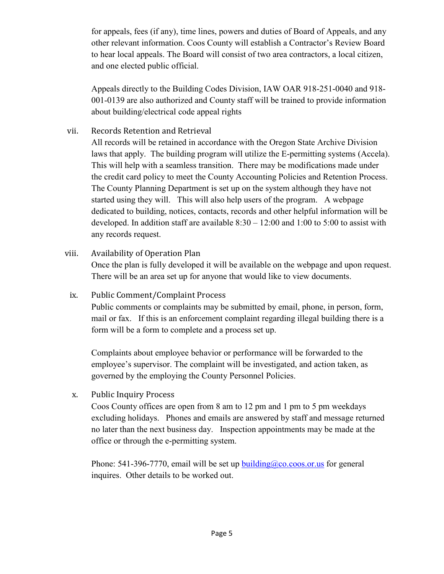for appeals, fees (if any), time lines, powers and duties of Board of Appeals, and any other relevant information. Coos County will establish a Contractor's Review Board to hear local appeals. The Board will consist of two area contractors, a local citizen, and one elected public official.

Appeals directly to the Building Codes Division, IAW OAR 918-251-0040 and 918- 001-0139 are also authorized and County staff will be trained to provide information about building/electrical code appeal rights

#### <span id="page-7-0"></span>vii. Records Retention and Retrieval

All records will be retained in accordance with the Oregon State Archive Division laws that apply. The building program will utilize the E-permitting systems (Accela). This will help with a seamless transition. There may be modifications made under the credit card policy to meet the County Accounting Policies and Retention Process. The County Planning Department is set up on the system although they have not started using they will. This will also help users of the program. A webpage dedicated to building, notices, contacts, records and other helpful information will be developed. In addition staff are available  $8:30 - 12:00$  and  $1:00$  to 5:00 to assist with any records request.

#### <span id="page-7-1"></span>viii. Availability of Operation Plan

Once the plan is fully developed it will be available on the webpage and upon request. There will be an area set up for anyone that would like to view documents.

#### <span id="page-7-2"></span>ix. Public Comment/Complaint Process

Public comments or complaints may be submitted by email, phone, in person, form, mail or fax. If this is an enforcement complaint regarding illegal building there is a form will be a form to complete and a process set up.

Complaints about employee behavior or performance will be forwarded to the employee's supervisor. The complaint will be investigated, and action taken, as governed by the employing the County Personnel Policies.

<span id="page-7-3"></span>x. Public Inquiry Process

Coos County offices are open from 8 am to 12 pm and 1 pm to 5 pm weekdays excluding holidays. Phones and emails are answered by staff and message returned no later than the next business day. Inspection appointments may be made at the office or through the e-permitting system.

Phone: 541-396-7770, email will be set up building  $@co.coos.$  or us for general inquires. Other details to be worked out.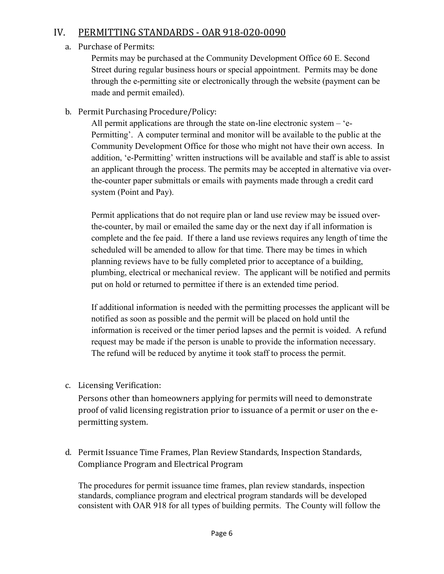## <span id="page-8-1"></span><span id="page-8-0"></span>IV. PERMITTING STANDARDS - OAR 918-020-0090

#### a. Purchase of Permits:

Permits may be purchased at the Community Development Office 60 E. Second Street during regular business hours or special appointment. Permits may be done through the e-permitting site or electronically through the website (payment can be made and permit emailed).

<span id="page-8-2"></span>b. Permit Purchasing Procedure/Policy:

All permit applications are through the state on-line electronic system – 'e-Permitting'. A computer terminal and monitor will be available to the public at the Community Development Office for those who might not have their own access. In addition, 'e-Permitting' written instructions will be available and staff is able to assist an applicant through the process. The permits may be accepted in alternative via overthe-counter paper submittals or emails with payments made through a credit card system (Point and Pay).

Permit applications that do not require plan or land use review may be issued overthe-counter, by mail or emailed the same day or the next day if all information is complete and the fee paid. If there a land use reviews requires any length of time the scheduled will be amended to allow for that time. There may be times in which planning reviews have to be fully completed prior to acceptance of a building, plumbing, electrical or mechanical review. The applicant will be notified and permits put on hold or returned to permittee if there is an extended time period.

If additional information is needed with the permitting processes the applicant will be notified as soon as possible and the permit will be placed on hold until the information is received or the timer period lapses and the permit is voided. A refund request may be made if the person is unable to provide the information necessary. The refund will be reduced by anytime it took staff to process the permit.

<span id="page-8-4"></span><span id="page-8-3"></span>c. Licensing Verification:

Persons other than homeowners applying for permits will need to demonstrate proof of valid licensing registration prior to issuance of a permit or user on the epermitting system.

<span id="page-8-5"></span>d. Permit Issuance Time Frames, Plan Review Standards, Inspection Standards, Compliance Program and Electrical Program

The procedures for permit issuance time frames, plan review standards, inspection standards, compliance program and electrical program standards will be developed consistent with OAR 918 for all types of building permits. The County will follow the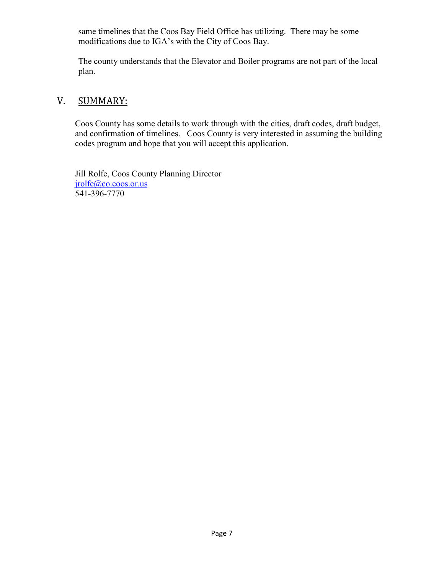same timelines that the Coos Bay Field Office has utilizing. There may be some modifications due to IGA's with the City of Coos Bay.

The county understands that the Elevator and Boiler programs are not part of the local plan.

### <span id="page-9-0"></span>V. SUMMARY:

Coos County has some details to work through with the cities, draft codes, draft budget, and confirmation of timelines. Coos County is very interested in assuming the building codes program and hope that you will accept this application.

Jill Rolfe, Coos County Planning Director [jrolfe@co.coos.or.us](mailto:jrolfe@co.coos.or.us)  541-396-7770